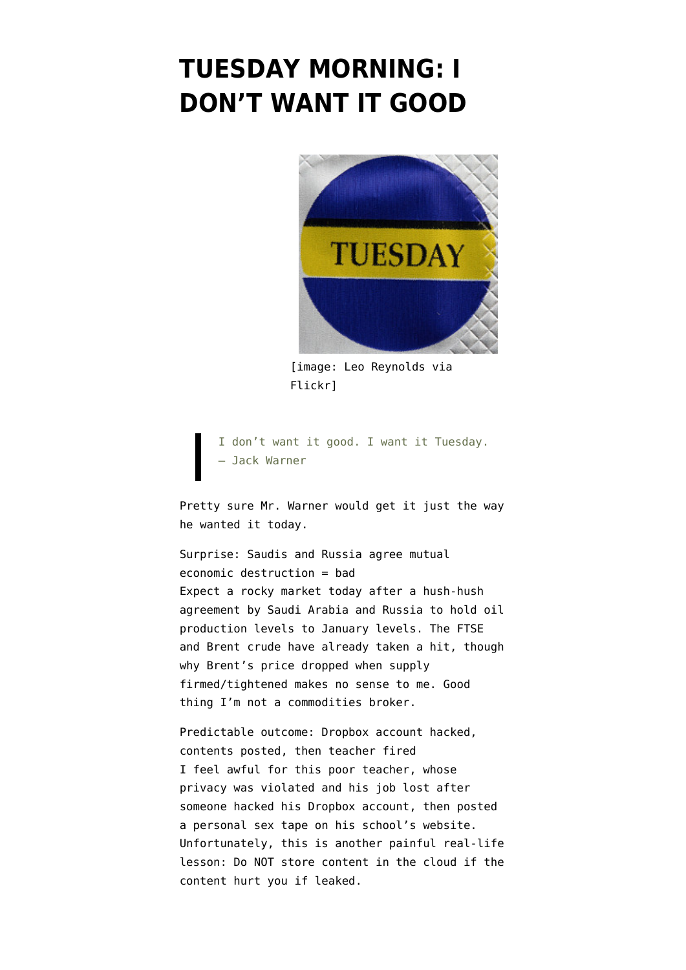## **[TUESDAY MORNING: I](https://www.emptywheel.net/2016/02/16/tuesday-morning-i-dont-want-it-good/) [DON'T WANT IT GOOD](https://www.emptywheel.net/2016/02/16/tuesday-morning-i-dont-want-it-good/)**



[image: [Leo Reynolds via](https://flic.kr/p/aB8bZ) [Flickr](https://flic.kr/p/aB8bZ)]

I don't want it good. I want it Tuesday. — Jack Warner

Pretty sure Mr. Warner would get it just the way he wanted it today.

Surprise: Saudis and Russia agree mutual economic destruction = bad Expect a rocky market today after [a hush-hush](http://in.reuters.com/article/oil-meeting-idINKCN0VP01M) [agreement by Saudi Arabia and Russia](http://in.reuters.com/article/oil-meeting-idINKCN0VP01M) to hold oil production levels to January levels. The FTSE and Brent crude have already taken a hit, though why Brent's price dropped when supply firmed/tightened makes no sense to me. Good thing I'm not a commodities broker.

Predictable outcome: Dropbox account hacked, contents posted, then teacher fired I feel awful for this poor teacher, whose privacy was violated and his job lost after [someone hacked his Dropbox account](https://nakedsecurity.sophos.com/2016/02/16/gay-teachers-sex-tape-stolen-from-hacked-dropbox-posted-on-school-site/), then posted a personal sex tape on his school's website. Unfortunately, this is another painful real-life lesson: Do NOT store content in the cloud if the content hurt you if leaked.